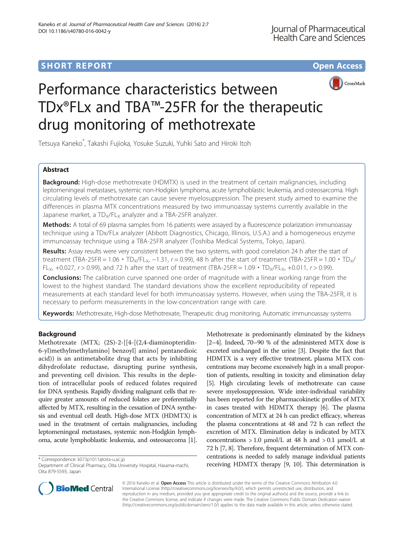# **SHORT REPORT SHORT CONSUMING THE CONSUMING THE CONSUMING THE CONSUMING THE CONSUMING THE CONSUMING THE CONSUMING THE CONSUMING THE CONSUMING THE CONSUMING THE CONSUMING THE CONSUMING THE CONSUMING THE CONSUMING THE CONS**





# Performance characteristics between TDx®FLx and TBA™-25FR for the therapeutic drug monitoring of methotrexate

Tetsuya Kaneko\* , Takashi Fujioka, Yosuke Suzuki, Yuhki Sato and Hiroki Itoh

# Abstract

Background: High-dose methotrexate (HDMTX) is used in the treatment of certain malignancies, including leptomeningeal metastases, systemic non-Hodgkin lymphoma, acute lymphoblastic leukemia, and osteosarcoma. High circulating levels of methotrexate can cause severe myelosuppression. The present study aimed to examine the differences in plasma MTX concentrations measured by two immunoassay systems currently available in the Japanese market, a  $TD_x/FL_x$  analyzer and a TBA-25FR analyzer.

Methods: A total of 69 plasma samples from 16 patients were assayed by a fluorescence polarization immunoassay technique using a TDx/FLx analyzer (Abbott Diagnostics, Chicago, Illinois, U.S.A.) and a homogeneous enzyme immunoassay technique using a TBA-25FR analyzer (Toshiba Medical Systems, Tokyo, Japan).

Results: Assay results were very consistent between the two systems, with good correlation 24 h after the start of treatment (TBA-25FR = 1.06 • TD<sub>X</sub>/FL<sub>X</sub>, -1.31, r = 0.99), 48 h after the start of treatment (TBA-25FR = 1.00 • TD<sub>X</sub>/ FL<sub>X</sub>, +0.027,  $r > 0.99$ ), and 72 h after the start of treatment (TBA-25FR = 1.09  $\cdot$  TD<sub>X</sub>/FL<sub>X</sub>, +0.011,  $r > 0.99$ ).

**Conclusions:** The calibration curve spanned one order of magnitude with a linear working range from the lowest to the highest standard. The standard deviations show the excellent reproducibility of repeated measurements at each standard level for both immunoassay systems. However, when using the TBA-25FR, it is necessary to perform measurements in the low-concentration range with care.

Keywords: Methotrexate, High-dose Methotrexate, Therapeutic drug monitoring, Automatic immunoassay systems

# Background

Methotrexate (MTX; (2S)-2-[[4-[(2,4-diaminopteridin-6-yl)methylmethylamino] benzoyl] amino] pentanedioic acid)) is an antimetabolite drug that acts by inhibiting dihydrofolate reductase, disrupting purine synthesis, and preventing cell division. This results in the depletion of intracellular pools of reduced folates required for DNA synthesis. Rapidly dividing malignant cells that require greater amounts of reduced folates are preferentially affected by MTX, resulting in the cessation of DNA synthesis and eventual cell death. High-dose MTX (HDMTX) is used in the treatment of certain malignancies, including leptomeningeal metastases, systemic non-Hodgkin lymphoma, acute lymphoblastic leukemia, and osteosarcoma [[1](#page-3-0)].

Methotrexate is predominantly eliminated by the kidneys [[2](#page-3-0)–[4\]](#page-3-0). Indeed, 70–90 % of the administered MTX dose is excreted unchanged in the urine [[3](#page-3-0)]. Despite the fact that HDMTX is a very effective treatment, plasma MTX concentrations may become excessively high in a small proportion of patients, resulting in toxicity and elimination delay [[5](#page-3-0)]. High circulating levels of methotrexate can cause severe myelosuppression. Wide inter-individual variability has been reported for the pharmacokinetic profiles of MTX in cases treated with HDMTX therapy [\[6](#page-3-0)]. The plasma concentration of MTX at 24 h can predict efficacy, whereas the plasma concentrations at 48 and 72 h can reflect the excretion of MTX. Elimination delay is indicated by MTX concentrations > 1.0 μmol/L at 48 h and > 0.1 μmol/L at 72 h [[7](#page-4-0), [8\]](#page-4-0). Therefore, frequent determination of MTX concentrations is needed to safely manage individual patients \* Correspondence: [k073p1011@oita-u.ac.jp](mailto:k073p1011@oita-u.ac.jp)<br>Department of Clinical Pharmacy, Oita University Hospital, Hasama-machi, **heliarceiving HDMTX therapy [\[9](#page-4-0), [10\]](#page-4-0). This determination is** 



© 2016 Kaneko et al. Open Access This article is distributed under the terms of the Creative Commons Attribution 4.0 International License [\(http://creativecommons.org/licenses/by/4.0/](http://creativecommons.org/licenses/by/4.0/)), which permits unrestricted use, distribution, and reproduction in any medium, provided you give appropriate credit to the original author(s) and the source, provide a link to the Creative Commons license, and indicate if changes were made. The Creative Commons Public Domain Dedication waiver [\(http://creativecommons.org/publicdomain/zero/1.0/](http://creativecommons.org/publicdomain/zero/1.0/)) applies to the data made available in this article, unless otherwise stated.

Department of Clinical Pharmacy, Oita University Hospital, Hasama-machi, Oita 879-5593, Japan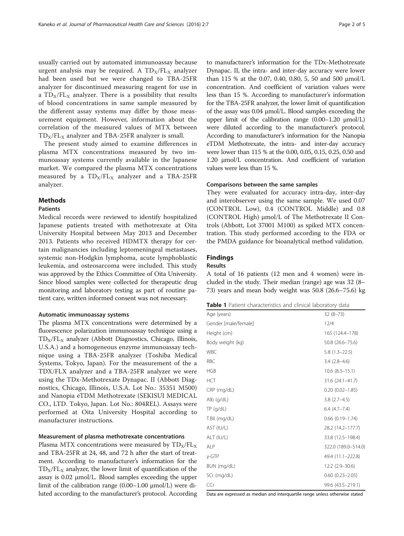<span id="page-1-0"></span>usually carried out by automated immunoassay because urgent analysis may be required. A  $TD_X/FL_X$  analyzer had been used but we were changed to TBA-25FR analyzer for discontinued measuring reagent for use in a  $TD_X/FL_X$  analyzer. There is a possibility that results of blood concentrations in same sample measured by the different assay systems may differ by those measurement equipment. However, information about the correlation of the measured values of MTX between  $TD_X/FL_X$  analyzer and TBA-25FR analyzer is small.

The present study aimed to examine differences in plasma MTX concentrations measured by two immunoassay systems currently available in the Japanese market. We compared the plasma MTX concentrations measured by a  $TD_x/FL_x$  analyzer and a TBA-25FR analyzer.

## **Methods**

#### Patients

Medical records were reviewed to identify hospitalized Japanese patients treated with methotrexate at Oita University Hospital between May 2013 and December 2013. Patients who received HDMTX therapy for certain malignancies including leptomeningeal metastases, systemic non-Hodgkin lymphoma, acute lymphoblastic leukemia, and osteosarcoma were included. This study was approved by the Ethics Committee of Oita University. Since blood samples were collected for therapeutic drug monitoring and laboratory testing as part of routine patient care, written informed consent was not necessary.

#### Automatic immunoassay systems

The plasma MTX concentrations were determined by a fluorescence polarization immunoassay technique using a  $TD_X/FL_X$  analyzer (Abbott Diagnostics, Chicago, Illinois, U.S.A.) and a homogeneous enzyme immunoassay technique using a TBA-25FR analyzer (Toshiba Medical Systems, Tokyo, Japan). For the measurement of the a TDX/FLX analyzer and a TBA-25FR analyzer we were using the TDx-Methotrexate Dynapac. II (Abbott Diagnostics, Chicago, Illinois, U.S.A. Lot No.: 35351 M500) and Nanopia eTDM Methotrexate (SEKISUI MEDICAL CO., LTD. Tokyo, Japan. Lot No.: 804REL). Assays were performed at Oita University Hospital according to manufacturer instructions.

### Measurement of plasma methotrexate concentrations

Plasma MTX concentrations were measured by  $TD_X/FL_X$ and TBA-25FR at 24, 48, and 72 h after the start of treatment. According to manufacturer's information for the  $TD_X/FL_X$  analyzer, the lower limit of quantification of the assay is 0.02 μmol/L. Blood samples exceeding the upper limit of the calibration range (0.00–1.00 μmol/L) were diluted according to the manufacturer's protocol. According

to manufacturer's information for the TDx-Methotrexate Dynapac. II, the intra- and inter-day accuracy were lower than 115 % at the 0.07, 0.40, 0.80, 5, 50 and 500 μmol/L concentration. And coefficient of variation values were less than 15 %. According to manufacturer's information for the TBA-25FR analyzer, the lower limit of quantification of the assay was 0.04 μmol/L. Blood samples exceeding the upper limit of the calibration range  $(0.00-1.20 \mu mol/L)$ were diluted according to the manufacturer's protocol. According to manufacturer's information for the Nanopia eTDM Methotrexate, the intra- and inter-day accuracy were lower than 115 % at the 0.00, 0.05, 0.15, 0.25, 0.50 and 1.20 μmol/L concentration. And coefficient of variation values were less than 15 %.

## Comparisons between the same samples

They were evaluated for accuracy intra-day, inter-day and interobserver using the same sample. We used 0.07 (CONTROL Low), 0.4 (CONTROL Middle) and 0.8 (CONTROL High) μmol/L of The Methotrexate II Controls (Abbott, Lot 37001 M100) as spiked MTX concentration. This study performed according to the FDA or the PMDA guidance for bioanalytical method validation.

## Findings

#### Results

A total of 16 patients (12 men and 4 women) were included in the study. Their median (range) age was 32 (8– 73) years and mean body weight was 50.8 (26.6–75.6) kg

| Table 1 Patient characteristics and clinical laboratory data |
|--------------------------------------------------------------|
|                                                              |

| Age (years)          | $32(8-73)$             |
|----------------------|------------------------|
| Gender [male/female] | 12/4                   |
| Height (cm)          | 165 (124.4-178)        |
| Body weight (kg)     | 50.8 (26.6-75.6)       |
| <b>WBC</b>           | $5.8(1.3-22.5)$        |
| <b>RBC</b>           | $3.4(2.8-4.6)$         |
| <b>HGB</b>           | $10.6$ $(8.3 - 15.1)$  |
| <b>HCT</b>           | 31.6 (24.1–41.7)       |
| CRP (mg/dL)          | $0.20(0.02 - 1.85)$    |
| $Alb$ (g/dL)         | $3.8(2.7 - 4.5)$       |
| $TP$ (g/dL)          | $6.4(4.7 - 7.4)$       |
| T.Bil (mg/dL)        | $0.66$ $(0.19 - 1.74)$ |
| AST (IU/L)           | 28.2 (14.2-177.7)      |
| ALT (IU/L)           | 33.8 (12.5-198.4)      |
| <b>ALP</b>           | 322.0 (189.0-514.0)    |
| $Y$ -GTP             | 49.4 (11.1-222.8)      |
| BUN (mg/dL)          | 12.2 (2.9-30.6)        |
| SCr (mg/dL)          | $0.60(0.23 - 2.05)$    |
| CCr                  | 99.6 (43.5-219.1)      |

Data are expressed as median and interquartile range unless otherwise stated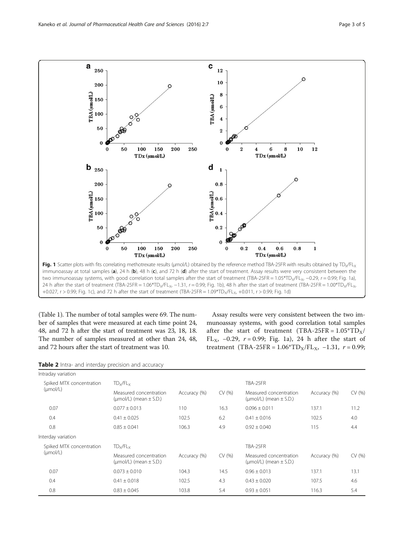<span id="page-2-0"></span>

two immunoassay systems, with good correlation total samples after the start of treatment (TBA-25FR = 1.05\*TD<sub>X</sub>/FL<sub>X</sub>, −0.29, r = 0.99; Fig. 1a), 24 h after the start of treatment (TBA-25FR = 1.06\*TD<sub>X</sub>/FL<sub>X</sub>, -1.31, r = 0.99; Fig. 1b), 48 h after the start of treatment (TBA-25FR = 1.00\*TD<sub>X</sub>/FL<sub>X</sub>, +0.027, r > 0.99; Fig. 1c), and 72 h after the start of treatment (TBA-25FR = 1.09\*TD<sub>X</sub>/FL<sub>X</sub>, +0.011, r > 0.99; Fig. 1d)

(Table [1\)](#page-1-0). The number of total samples were 69. The number of samples that were measured at each time point 24, 48, and 72 h after the start of treatment was 23, 18, 18. The number of samples measured at other than 24, 48, and 72 hours after the start of treatment was 10.

Assay results were very consistent between the two immunoassay systems, with good correlation total samples after the start of treatment (TBA-25FR =  $1.05*TD_x$ / FL<sub>X</sub>,  $-0.29$ ,  $r = 0.99$ ; Fig. 1a), 24 h after the start of treatment (TBA-25FR =  $1.06*T D_X/FL_X$ , -1.31,  $r = 0.99$ ;

| Table 2 Intra- and interday precision and accuracy |  |  |  |  |  |
|----------------------------------------------------|--|--|--|--|--|
|----------------------------------------------------|--|--|--|--|--|

| Intraday variation                               |                                                            |              |          |                                                            |              |        |
|--------------------------------------------------|------------------------------------------------------------|--------------|----------|------------------------------------------------------------|--------------|--------|
| Spiked MTX concentration<br>$(\mu \text{mol/L})$ | $TD_{x}/FL_{x}$                                            |              | TBA-25FR |                                                            |              |        |
|                                                  | Measured concentration<br>( $\mu$ mol/L) (mean $\pm$ S.D.) | Accuracy (%) | CV (%)   | Measured concentration<br>( $\mu$ mol/L) (mean $\pm$ S.D.) | Accuracy (%) | CV(% ) |
| 0.07                                             | $0.077 \pm 0.013$                                          | 110          | 16.3     | $0.096 \pm 0.011$                                          | 137.1        | 11.2   |
| 0.4                                              | $0.41 \pm 0.025$                                           | 102.5        | 6.2      | $0.41 \pm 0.016$                                           | 102.5        | 4.0    |
| 0.8                                              | $0.85 \pm 0.041$                                           | 106.3        | 4.9      | $0.92 \pm 0.040$                                           | 115          | 4.4    |
| Interday variation                               |                                                            |              |          |                                                            |              |        |
| Spiked MTX concentration                         | $TD_x/FL_x$                                                |              |          | TBA-25FR                                                   |              |        |
| $(\mu \text{mol/L})$                             | Measured concentration<br>( $\mu$ mol/L) (mean $\pm$ S.D.) | Accuracy (%) | CV (%)   | Measured concentration<br>( $\mu$ mol/L) (mean $\pm$ S.D.) | Accuracy (%) | CV(% ) |
| 0.07                                             | $0.073 \pm 0.010$                                          | 104.3        | 14.5     | $0.96 \pm 0.013$                                           | 137.1        | 13.1   |
| 0.4                                              | $0.41 \pm 0.018$                                           | 102.5        | 4.3      | $0.43 \pm 0.020$                                           | 107.5        | 4.6    |
| 0.8                                              | $0.83 \pm 0.045$                                           | 103.8        | 5.4      | $0.93 \pm 0.051$                                           | 116.3        | 5.4    |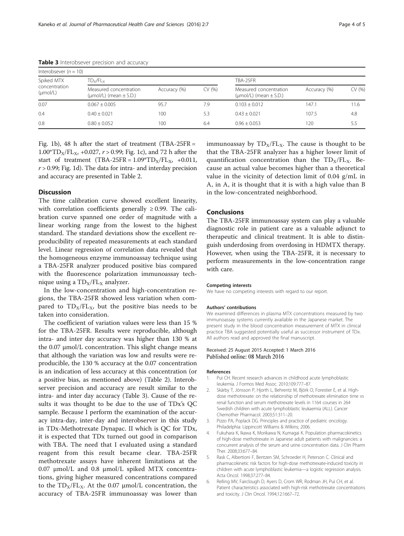| Interobsever $(n = 10)$                             |                                                            |              |          |                                                            |              |        |  |  |
|-----------------------------------------------------|------------------------------------------------------------|--------------|----------|------------------------------------------------------------|--------------|--------|--|--|
| Spiked MTX<br>concentration<br>$(\mu \text{mol/L})$ | $\text{TD}_\text{x}/\text{FL}_\text{x}$                    |              | TBA-25FR |                                                            |              |        |  |  |
|                                                     | Measured concentration<br>( $\mu$ mol/L) (mean $\pm$ S.D.) | Accuracy (%) | CV (%)   | Measured concentration<br>( $\mu$ mol/L) (mean $\pm$ S.D.) | Accuracy (%) | CV (%) |  |  |
| 0.07                                                | $0.067 + 0.005$                                            | 95.7         | 7.9      | $0.103 + 0.012$                                            | 147.1        | 11.6   |  |  |
| 0.4                                                 | $0.40 + 0.021$                                             | 100          | 5.3      | $0.43 + 0.021$                                             | 107.5        | 4.8    |  |  |
| 0.8                                                 | $0.80 \pm 0.052$                                           | 100          | 6.4      | $0.96 \pm 0.053$                                           | 120          | 5.5    |  |  |

<span id="page-3-0"></span>Table 3 Interobsever precision and accuracy

Fig. [1b\)](#page-2-0), 48 h after the start of treatment (TBA-25FR  $=$  $1.00*T D_X/FL_X$ , +0.027,  $r > 0.99$ ; Fig. [1c\)](#page-2-0), and 72 h after the start of treatment (TBA-25FR =  $1.09^* \text{T}D_x/FL_x$ , +0.011,  $r > 0.99$ ; Fig. [1d](#page-2-0)). The data for intra- and interday precision and accuracy are presented in Table [2](#page-2-0).

## **Discussion**

The time calibration curve showed excellent linearity, with correlation coefficients generally  $\geq 0.99$ . The calibration curve spanned one order of magnitude with a linear working range from the lowest to the highest standard. The standard deviations show the excellent reproducibility of repeated measurements at each standard level. Linear regression of correlation data revealed that the homogeneous enzyme immunoassay technique using a TBA-25FR analyzer produced positive bias compared with the fluorescence polarization immunoassay technique using a  $TD_y/FL_y$  analyzer.

In the low-concentration and high-concentration regions, the TBA-25FR showed less variation when compared to  $TD_X/FL_X$ , but the positive bias needs to be taken into consideration.

The coefficient of variation values were less than 15 % for the TBA-25FR. Results were reproducible, although intra- and inter day accuracy was higher than 130 % at the 0.07 μmol/L concentration. This slight change means that although the variation was low and results were reproducible, the 130 % accuracy at the 0.07 concentration is an indication of less accuracy at this concentration (or a positive bias, as mentioned above) (Table [2\)](#page-2-0). Interobserver precision and accuracy are result similar to the intra- and inter day accuracy (Table 3). Cause of the results it was thought to be due to the use of TDx's QC sample. Because I perform the examination of the accuracy intra-day, inter-day and interobserver in this study in TDx-Methotrexate Dynapac. II which is QC for TDx, it is expected that TDx turned out good in comparison with TBA. The need that I evaluated using a standard reagent from this result became clear. TBA-25FR methotrexate assays have inherent limitations at the 0.07 μmol/L and 0.8 μmol/L spiked MTX concentrations, giving higher measured concentrations compared to the  $TD_X/FL_X$ . At the 0.07  $\mu$ mol/L concentration, the accuracy of TBA-25FR immunoassay was lower than

immunoassay by  $TD_X/FL_X$ . The cause is thought to be that the TBA-25FR analyzer has a higher lower limit of quantification concentration than the  $TD_X/FL_X$ . Because an actual value becomes higher than a theoretical value in the vicinity of detection limit of 0.04 g/mL in A, in A, it is thought that it is with a high value than B in the low-concentrated neighborhood.

#### **Conclusions**

The TBA-25FR immunoassay system can play a valuable diagnostic role in patient care as a valuable adjunct to therapeutic and clinical treatment. It is able to distinguish underdosing from overdosing in HDMTX therapy. However, when using the TBA-25FR, it is necessary to perform measurements in the low-concentration range with care.

#### Competing interests

We have no competing interests with regard to our report.

#### Authors' contributions

We examined differences in plasma MTX concentrations measured by two immunoassay systems currently available in the Japanese market. The present study in the blood concentration measurement of MTX in clinical practice TBA suggested potentially useful as successor instrument of TDx. All authors read and approved the final manuscript.

#### Received: 25 August 2015 Accepted: 1 March 2016 Published online: 08 March 2016

#### References

- 1. Pui CH. Recent research advances in childhood acute lymphoblastic leukemia. J Formos Med Assoc. 2010;109:777–87.
- 2. Skärby T, Jönsson P, Hjorth L, Behrentz M, Björk O, Forestier E, et al. Highdose methotrexate: on the relationship of methotrexate elimination time vs renal function and serum methotrexate levels in 1164 courses in 264 Swedish children with acute lymphoblastic leukaemia (ALL). Cancer Chemother Pharmacol. 2003;51:311–20.
- 3. Pizzo PA, Poplack DG. Principles and practice of pediatric oncology. Philadelphia: Lippincott Williams & Wilkins; 2006.
- 4. Fukuhara K, Ikawa K, Morikawa N, Kumagai K. Population pharmacokinetics of high-dose methotrexate in Japanese adult patients with malignancies: a concurrent analysis of the serum and urine concentration data. J Clin Pharm Ther. 2008;33:677–84.
- 5. Rask C, Albertioni F, Bentzen SM, Schroeder H, Peterson C. Clinical and pharmacokinetic risk factors for high-dose methotrexate-induced toxicity in children with acute lymphoblastic leukemia—a logistic regression analysis. Acta Oncol. 1998;37:277–84.
- 6. Relling MV, Fairclough D, Ayers D, Crom WR, Rodman JH, Pui CH, et al. Patient characteristics associated with high-risk methotrexate concentrations and toxicity. J Clin Oncol. 1994;12:1667–72.